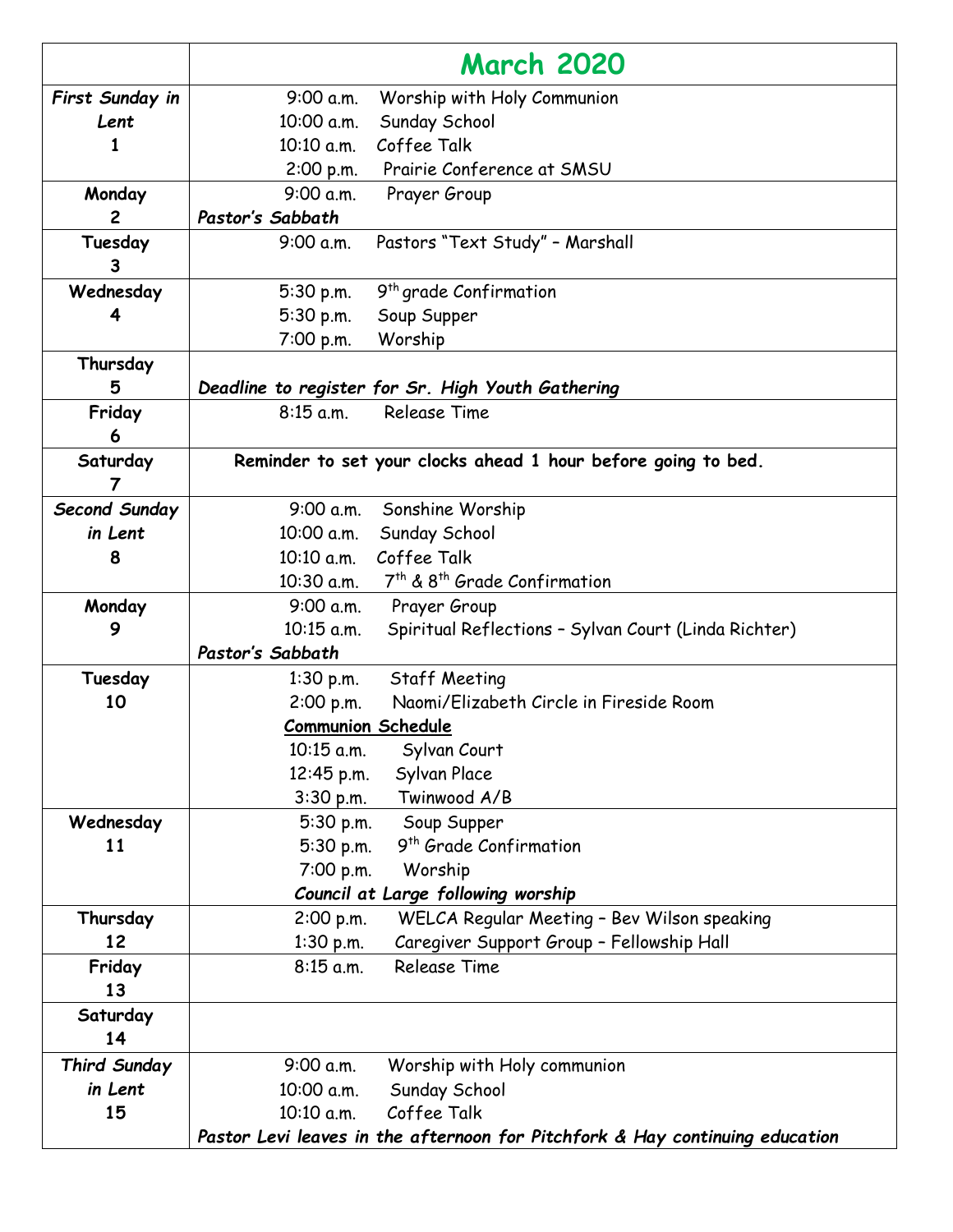|                     | <b>March 2020</b>                                                            |
|---------------------|------------------------------------------------------------------------------|
| First Sunday in     | Worship with Holy Communion<br>9:00 a.m.                                     |
| Lent                | Sunday School<br>10:00 a.m.                                                  |
| 1                   | Coffee Talk<br>10:10 a.m.                                                    |
|                     | Prairie Conference at SMSU<br>2:00 p.m.                                      |
| Monday              | 9:00 a.m.<br>Prayer Group                                                    |
| $\mathbf{2}$        | Pastor's Sabbath                                                             |
| Tuesday<br>3        | Pastors "Text Study" - Marshall<br>9:00 a.m.                                 |
| Wednesday           | 9 <sup>th</sup> grade Confirmation<br>5:30 p.m.                              |
| 4                   | 5:30 p.m.<br>Soup Supper                                                     |
|                     | Worship<br>7:00 p.m.                                                         |
| Thursday            |                                                                              |
| 5                   | Deadline to register for Sr. High Youth Gathering                            |
| Friday              | $8:15$ a.m.<br><b>Release Time</b>                                           |
| 6                   |                                                                              |
| Saturday            | Reminder to set your clocks ahead 1 hour before going to bed.                |
| $\overline{7}$      |                                                                              |
| Second Sunday       | 9:00 a.m.<br>Sonshine Worship                                                |
| in Lent             | Sunday School<br>10:00 a.m.                                                  |
| 8                   | 10:10 a.m. Coffee Talk                                                       |
|                     | 7 <sup>th</sup> & 8 <sup>th</sup> Grade Confirmation<br>10:30 a.m.           |
| Monday              | 9:00 a.m. Prayer Group                                                       |
| 9                   | $10:15$ a.m.<br>Spiritual Reflections - Sylvan Court (Linda Richter)         |
|                     | Pastor's Sabbath                                                             |
| Tuesday             | Staff Meeting<br>$1:30$ p.m.                                                 |
| 10                  | Naomi/Elizabeth Circle in Fireside Room<br>2:00 p.m.                         |
|                     | <b>Communion Schedule</b>                                                    |
|                     | 10:15 a.m.<br>Sylvan Court                                                   |
|                     | Sylvan Place<br>12:45 p.m.<br>Twinwood A/B<br>$3:30$ p.m.                    |
| Wednesday           | 5:30 p.m.<br>Soup Supper                                                     |
| 11                  | 9 <sup>th</sup> Grade Confirmation<br>5:30 p.m.                              |
|                     | 7:00 p.m.<br>Worship                                                         |
|                     | Council at Large following worship                                           |
| Thursday            | WELCA Regular Meeting - Bev Wilson speaking<br>2:00 p.m.                     |
| 12                  | Caregiver Support Group - Fellowship Hall<br>$1:30$ p.m.                     |
| Friday              | <b>Release Time</b><br>$8:15$ a.m.                                           |
| 13                  |                                                                              |
| Saturday            |                                                                              |
| 14                  |                                                                              |
| <b>Third Sunday</b> | 9:00 a.m.<br>Worship with Holy communion                                     |
| in Lent             | Sunday School<br>10:00 a.m.                                                  |
| 15                  | Coffee Talk<br>10:10 a.m.                                                    |
|                     | Pastor Levi leaves in the afternoon for Pitchfork & Hay continuing education |